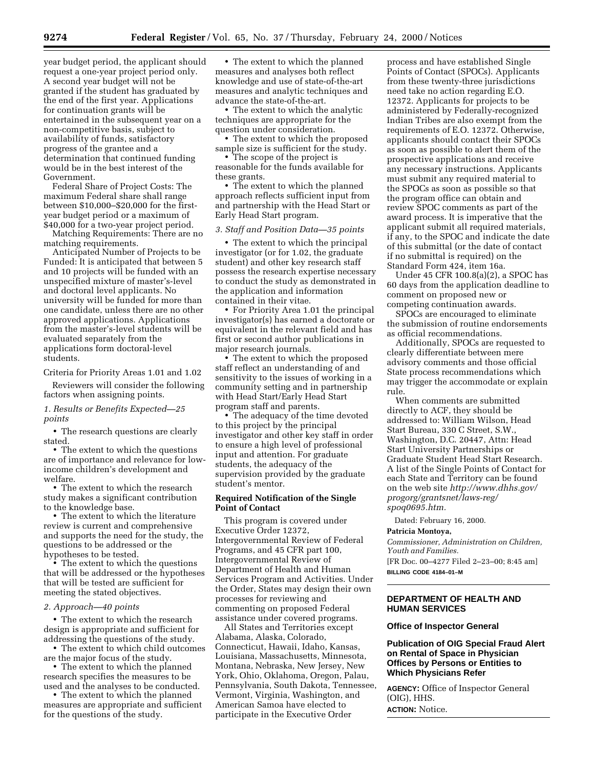year budget period, the applicant should request a one-year project period only. A second year budget will not be granted if the student has graduated by the end of the first year. Applications for continuation grants will be entertained in the subsequent year on a non-competitive basis, subject to availability of funds, satisfactory progress of the grantee and a determination that continued funding would be in the best interest of the Government.

Federal Share of Project Costs: The maximum Federal share shall range between \$10,000–\$20,000 for the firstyear budget period or a maximum of \$40,000 for a two-year project period.

Matching Requirements: There are no matching requirements.

Anticipated Number of Projects to be Funded: It is anticipated that between 5 and 10 projects will be funded with an unspecified mixture of master's-level and doctoral level applicants. No university will be funded for more than one candidate, unless there are no other approved applications. Applications from the master's-level students will be evaluated separately from the applications form doctoral-level students.

Criteria for Priority Areas 1.01 and 1.02

Reviewers will consider the following factors when assigning points.

## *1. Results or Benefits Expected—25 points*

• The research questions are clearly stated.

• The extent to which the questions are of importance and relevance for lowincome children's development and welfare.

• The extent to which the research study makes a significant contribution to the knowledge base.

• The extent to which the literature review is current and comprehensive and supports the need for the study, the questions to be addressed or the hypotheses to be tested.

• The extent to which the questions that will be addressed or the hypotheses that will be tested are sufficient for meeting the stated objectives.

# *2. Approach—40 points*

• The extent to which the research design is appropriate and sufficient for addressing the questions of the study.

• The extent to which child outcomes are the major focus of the study.

• The extent to which the planned research specifies the measures to be used and the analyses to be conducted.

• The extent to which the planned measures are appropriate and sufficient for the questions of the study.

• The extent to which the planned measures and analyses both reflect knowledge and use of state-of-the-art measures and analytic techniques and advance the state-of-the-art.

• The extent to which the analytic techniques are appropriate for the question under consideration.

• The extent to which the proposed sample size is sufficient for the study.

• The scope of the project is reasonable for the funds available for these grants.

• The extent to which the planned approach reflects sufficient input from and partnership with the Head Start or Early Head Start program.

### *3. Staff and Position Data—35 points*

• The extent to which the principal investigator (or for 1.02, the graduate student) and other key research staff possess the research expertise necessary to conduct the study as demonstrated in the application and information contained in their vitae.

• For Priority Area 1.01 the principal investigator(s) has earned a doctorate or equivalent in the relevant field and has first or second author publications in major research journals.

• The extent to which the proposed staff reflect an understanding of and sensitivity to the issues of working in a community setting and in partnership with Head Start/Early Head Start program staff and parents.

• The adequacy of the time devoted to this project by the principal investigator and other key staff in order to ensure a high level of professional input and attention. For graduate students, the adequacy of the supervision provided by the graduate student's mentor.

### **Required Notification of the Single Point of Contact**

This program is covered under Executive Order 12372, Intergovernmental Review of Federal Programs, and 45 CFR part 100, Intergovernmental Review of Department of Health and Human Services Program and Activities. Under the Order, States may design their own processes for reviewing and commenting on proposed Federal assistance under covered programs.

All States and Territories except Alabama, Alaska, Colorado, Connecticut, Hawaii, Idaho, Kansas, Louisiana, Massachusetts, Minnesota, Montana, Nebraska, New Jersey, New York, Ohio, Oklahoma, Oregon, Palau, Pennsylvania, South Dakota, Tennessee, Vermont, Virginia, Washington, and American Samoa have elected to participate in the Executive Order

process and have established Single Points of Contact (SPOCs). Applicants from these twenty-three jurisdictions need take no action regarding E.O. 12372. Applicants for projects to be administered by Federally-recognized Indian Tribes are also exempt from the requirements of E.O. 12372. Otherwise, applicants should contact their SPOCs as soon as possible to alert them of the prospective applications and receive any necessary instructions. Applicants must submit any required material to the SPOCs as soon as possible so that the program office can obtain and review SPOC comments as part of the award process. It is imperative that the applicant submit all required materials, if any, to the SPOC and indicate the date of this submittal (or the date of contact if no submittal is required) on the Standard Form 424, item 16a.

Under 45 CFR 100.8(a)(2), a SPOC has 60 days from the application deadline to comment on proposed new or competing continuation awards.

SPOCs are encouraged to eliminate the submission of routine endorsements as official recommendations.

Additionally, SPOCs are requested to clearly differentiate between mere advisory comments and those official State process recommendations which may trigger the accommodate or explain rule.

When comments are submitted directly to ACF, they should be addressed to: William Wilson, Head Start Bureau, 330 C Street, S.W., Washington, D.C. 20447, Attn: Head Start University Partnerships or Graduate Student Head Start Research. A list of the Single Points of Contact for each State and Territory can be found on the web site *http://www.dhhs.gov/ progorg/grantsnet/laws-reg/ spoq0695.htm.* 

Dated: February 16, 2000.

### **Patricia Montoya,**

*Commissioner, Administration on Children, Youth and Families.*  [FR Doc. 00–4277 Filed 2–23–00; 8:45 am]

**BILLING CODE 4184–01–M** 

# **DEPARTMENT OF HEALTH AND HUMAN SERVICES**

### **Office of Inspector General**

## **Publication of OIG Special Fraud Alert on Rental of Space in Physician Offices by Persons or Entities to Which Physicians Refer**

**AGENCY:** Office of Inspector General (OIG), HHS. **ACTION:** Notice.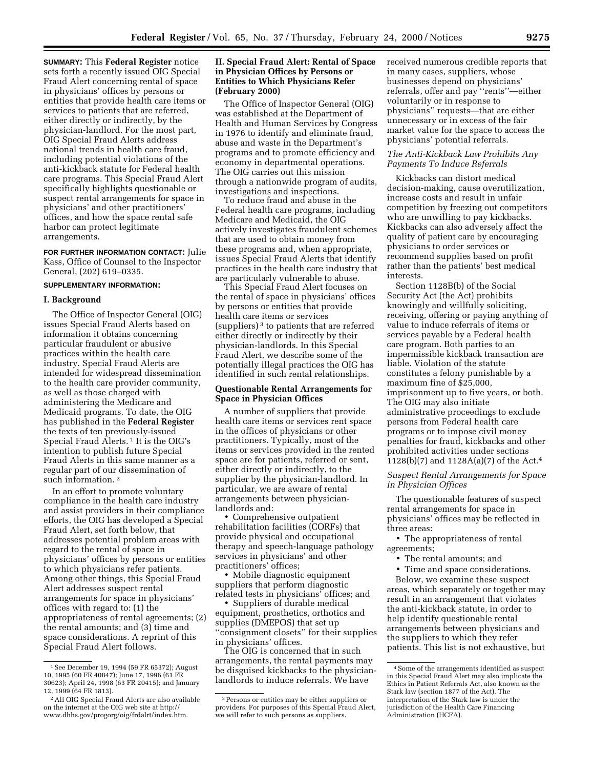**SUMMARY:** This **Federal Register** notice sets forth a recently issued OIG Special Fraud Alert concerning rental of space in physicians' offices by persons or entities that provide health care items or services to patients that are referred, either directly or indirectly, by the physician-landlord. For the most part, OIG Special Fraud Alerts address national trends in health care fraud, including potential violations of the anti-kickback statute for Federal health care programs. This Special Fraud Alert specifically highlights questionable or suspect rental arrangements for space in physicians' and other practitioners' offices, and how the space rental safe harbor can protect legitimate arrangements.

**FOR FURTHER INFORMATION CONTACT:** Julie Kass, Office of Counsel to the Inspector General, (202) 619–0335.

# **SUPPLEMENTARY INFORMATION:**

### **I. Background**

The Office of Inspector General (OIG) issues Special Fraud Alerts based on information it obtains concerning particular fraudulent or abusive practices within the health care industry. Special Fraud Alerts are intended for widespread dissemination to the health care provider community, as well as those charged with administering the Medicare and Medicaid programs. To date, the OIG has published in the **Federal Register**  the texts of ten previously-issued Special Fraud Alerts. 1 It is the OIG's intention to publish future Special Fraud Alerts in this same manner as a regular part of our dissemination of such information. 2

In an effort to promote voluntary compliance in the health care industry and assist providers in their compliance efforts, the OIG has developed a Special Fraud Alert, set forth below, that addresses potential problem areas with regard to the rental of space in physicians' offices by persons or entities to which physicians refer patients. Among other things, this Special Fraud Alert addresses suspect rental arrangements for space in physicians' offices with regard to: (1) the appropriateness of rental agreements; (2) the rental amounts; and (3) time and space considerations. A reprint of this Special Fraud Alert follows.

## **II. Special Fraud Alert: Rental of Space in Physician Offices by Persons or Entities to Which Physicians Refer (February 2000)**

The Office of Inspector General (OIG) was established at the Department of Health and Human Services by Congress in 1976 to identify and eliminate fraud, abuse and waste in the Department's programs and to promote efficiency and economy in departmental operations. The OIG carries out this mission through a nationwide program of audits, investigations and inspections.

To reduce fraud and abuse in the Federal health care programs, including Medicare and Medicaid, the OIG actively investigates fraudulent schemes that are used to obtain money from these programs and, when appropriate, issues Special Fraud Alerts that identify practices in the health care industry that are particularly vulnerable to abuse.

This Special Fraud Alert focuses on the rental of space in physicians' offices by persons or entities that provide health care items or services (suppliers) 3 to patients that are referred either directly or indirectly by their physician-landlords. In this Special Fraud Alert, we describe some of the potentially illegal practices the OIG has identified in such rental relationships.

## **Questionable Rental Arrangements for Space in Physician Offices**

A number of suppliers that provide health care items or services rent space in the offices of physicians or other practitioners. Typically, most of the items or services provided in the rented space are for patients, referred or sent, either directly or indirectly, to the supplier by the physician-landlord. In particular, we are aware of rental arrangements between physicianlandlords and:

• Comprehensive outpatient rehabilitation facilities (CORFs) that provide physical and occupational therapy and speech-language pathology services in physicians' and other practitioners' offices;

• Mobile diagnostic equipment suppliers that perform diagnostic related tests in physicians' offices; and

• Suppliers of durable medical equipment, prosthetics, orthotics and supplies (DMEPOS) that set up ''consignment closets'' for their supplies in physicians' offices.

The OIG is concerned that in such arrangements, the rental payments may be disguised kickbacks to the physicianlandlords to induce referrals. We have

received numerous credible reports that in many cases, suppliers, whose businesses depend on physicians' referrals, offer and pay ''rents''—either voluntarily or in response to physicians'' requests—that are either unnecessary or in excess of the fair market value for the space to access the physicians' potential referrals.

## *The Anti-Kickback Law Prohibits Any Payments To Induce Referrals*

Kickbacks can distort medical decision-making, cause overutilization, increase costs and result in unfair competition by freezing out competitors who are unwilling to pay kickbacks. Kickbacks can also adversely affect the quality of patient care by encouraging physicians to order services or recommend supplies based on profit rather than the patients' best medical interests.

Section 1128B(b) of the Social Security Act (the Act) prohibits knowingly and willfully soliciting, receiving, offering or paying anything of value to induce referrals of items or services payable by a Federal health care program. Both parties to an impermissible kickback transaction are liable. Violation of the statute constitutes a felony punishable by a maximum fine of \$25,000, imprisonment up to five years, or both. The OIG may also initiate administrative proceedings to exclude persons from Federal health care programs or to impose civil money penalties for fraud, kickbacks and other prohibited activities under sections 1128(b)(7) and 1128A(a)(7) of the Act.4

### *Suspect Rental Arrangements for Space in Physician Offices*

The questionable features of suspect rental arrangements for space in physicians' offices may be reflected in three areas:

• The appropriateness of rental agreements;

• The rental amounts; and

• Time and space considerations.

Below, we examine these suspect areas, which separately or together may result in an arrangement that violates the anti-kickback statute, in order to help identify questionable rental arrangements between physicians and the suppliers to which they refer patients. This list is not exhaustive, but

<sup>1</sup> See December 19, 1994 (59 FR 65372); August 10, 1995 (60 FR 40847); June 17, 1996 (61 FR 30623); April 24, 1998 (63 FR 20415); and January 12, 1999 (64 FR 1813).

<sup>2</sup> All OIG Special Fraud Alerts are also available on the internet at the OIG web site at http:// www.dhhs.gov/progorg/oig/frdalrt/index.htm.

<sup>3</sup> Persons or entities may be either suppliers or providers. For purposes of this Special Fraud Alert, we will refer to such persons as suppliers.

<sup>4</sup> Some of the arrangements identified as suspect in this Special Fraud Alert may also implicate the Ethics in Patient Referrals Act, also known as the Stark law (section 1877 of the Act). The interpretation of the Stark law is under the jurisdiction of the Health Care Financing Administration (HCFA).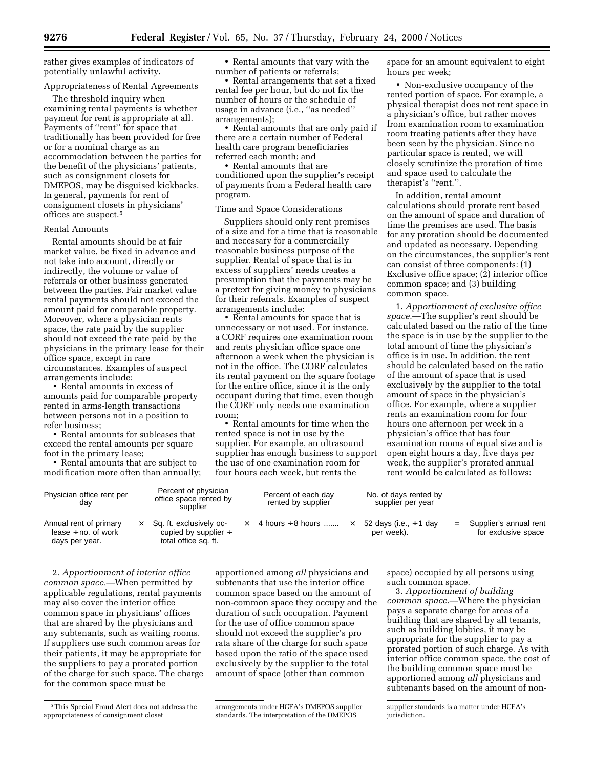rather gives examples of indicators of • Rental amounts that vary with the space for an amount equivalent to eight

#### Appropriateness of Rental Agreements

The threshold inquiry when examining rental payments is whether payment for rent is appropriate at all. Payments of ''rent'' for space that traditionally has been provided for free or for a nominal charge as an accommodation between the parties for the benefit of the physicians' patients, such as consignment closets for DMEPOS, may be disguised kickbacks. In general, payments for rent of program. In addition, rental amount consignment closets in physicians' offices are suspect.5

#### Rental Amounts

Rental amounts should be at fair market value, be fixed in advance and not take into account, directly or indirectly, the volume or value of referrals or other business generated between the parties. Fair market value rental payments should not exceed the amount paid for comparable property. Moreover, where a physician rents space, the rate paid by the supplier should not exceed the rate paid by the physicians in the primary lease for their office space, except in rare circumstances. Examples of suspect arrangements include:

• Rental amounts in excess of amounts paid for comparable property rented in arms-length transactions between persons not in a position to refer business;

modification more often than annually; four hours each week, but rents the rent would be calculated as follows:

potentially unlawful activity. https://www.mumber of patients or referrals; hours per week;

• Rental arrangements that set a fixed rental fee per hour, but do not fix the number of hours or the schedule of usage in advance (i.e., ''as needed'' arrangements);

• Rental amounts that are only paid if there are a certain number of Federal health care program beneficiaries referred each month; and

• Rental amounts that are conditioned upon the supplier's receipt of payments from a Federal health care

#### Time and Space Considerations

Suppliers should only rent premises of a size and for a time that is reasonable and necessary for a commercially reasonable business purpose of the supplier. Rental of space that is in excess of suppliers' needs creates a presumption that the payments may be a pretext for giving money to physicians for their referrals. Examples of suspect arrangements include:

• Rental amounts for space that is unnecessary or not used. For instance, a CORF requires one examination room and rents physician office space one afternoon a week when the physician is not in the office. The CORF calculates its rental payment on the square footage for the entire office, since it is the only occupant during that time, even though the CORF only needs one examination room;

• Rental amounts for time when the rented space is not in use by the • Rental amounts for subleases that rented space is not in use by the  $\qquad \qquad \qquad$  physician's office that has four<br>ceed the rental amounts per square supplier. For example, an ultrasound examination rooms of equal size an exceed the rental amounts per square supplier. For example, an ultrasound examination rooms of equal size and<br>foot in the primary lease; supplier has enough business to support open eight hours a day, five days per foot in the primary lease; supplier has enough business to support <br>• Rental amounts that are subject to the use of one examination room for the use of one examination room for week, the supplier's prorated annual<br>
four hours each week, but rents the rent would be calculated as follows:

• Non-exclusive occupancy of the rented portion of space. For example, a physical therapist does not rent space in a physician's office, but rather moves from examination room to examination room treating patients after they have been seen by the physician. Since no particular space is rented, we will closely scrutinize the proration of time and space used to calculate the therapist's ''rent.''.

calculations should prorate rent based on the amount of space and duration of time the premises are used. The basis for any proration should be documented and updated as necessary. Depending on the circumstances, the supplier's rent can consist of three components: (1) Exclusive office space; (2) interior office common space; and (3) building common space.

1. *Apportionment of exclusive office space.*—The supplier's rent should be calculated based on the ratio of the time the space is in use by the supplier to the total amount of time the physician's office is in use. In addition, the rent should be calculated based on the ratio of the amount of space that is used exclusively by the supplier to the total amount of space in the physician's office. For example, where a supplier rents an examination room for four hours one afternoon per week in a<br>physician's office that has four

| Physician office rent per<br>day                                     |          | Percent of physician<br>office space rented by<br>supplier                   | Percent of each day<br>rented by supplier | No. of days rented by<br>supplier per year |                                                   |
|----------------------------------------------------------------------|----------|------------------------------------------------------------------------------|-------------------------------------------|--------------------------------------------|---------------------------------------------------|
| Annual rent of primary<br>lease $\div$ no. of work<br>days per year. | $\times$ | Sq. ft. exclusively oc-<br>cupied by supplier $\div$<br>total office sq. ft. | $\times$ 4 hours ÷ 8 hours $\times$       | 52 days (i.e., $\div$ 1 day<br>per week).  | $=$ Supplier's annual rent<br>for exclusive space |

2. *Apportionment of interior office common space.*—When permitted by applicable regulations, rental payments may also cover the interior office common space in physicians' offices that are shared by the physicians and any subtenants, such as waiting rooms. If suppliers use such common areas for their patients, it may be appropriate for the suppliers to pay a prorated portion of the charge for such space. The charge for the common space must be

apportioned among *all* physicians and subtenants that use the interior office common space based on the amount of non-common space they occupy and the duration of such occupation. Payment for the use of office common space should not exceed the supplier's pro rata share of the charge for such space based upon the ratio of the space used exclusively by the supplier to the total amount of space (other than common

space) occupied by all persons using such common space.

3. *Apportionment of building common space.*—Where the physician pays a separate charge for areas of a building that are shared by all tenants, such as building lobbies, it may be appropriate for the supplier to pay a prorated portion of such charge. As with interior office common space, the cost of the building common space must be apportioned among *all* physicians and subtenants based on the amount of non-

<sup>5</sup> This Special Fraud Alert does not address the appropriateness of consignment closet

arrangements under HCFA's DMEPOS supplier standards. The interpretation of the DMEPOS

supplier standards is a matter under HCFA's jurisdiction.